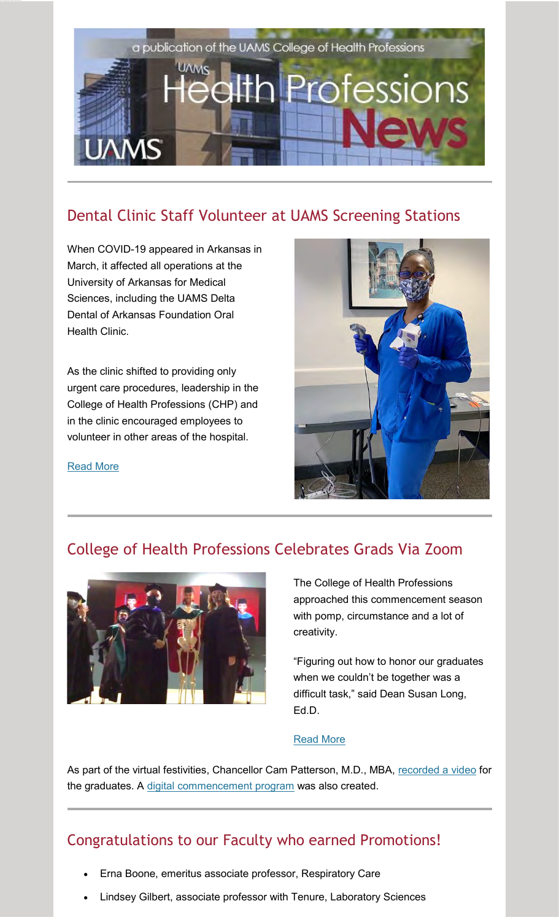

# Dental Clinic Staff Volunteer at UAMS Screening Stations

When COVID-19 appeared in Arkansas in March, it affected all operations at the University of Arkansas for Medical Sciences, including the UAMS Delta Dental of Arkansas Foundation Oral Health Clinic.

As the clinic shifted to providing only urgent care procedures, leadership in the College of Health Professions (CHP) and in the clinic encouraged employees to volunteer in other areas of the hospital.



[Read More](https://newsletter.uams.edu/?mailpoet_router&endpoint=track&action=click&data=WyI4NTM5IiwiMndyeGZpd3QxYWlvczRvbzQwc2M0b3Nvd2swZzg0OGsiLCIzOCIsIjA0M2QwNzFjYTk5YiIsZmFsc2Vd)

### College of Health Professions Celebrates Grads Via Zoom



The College of Health Professions approached this commencement season with pomp, circumstance and a lot of creativity.

"Figuring out how to honor our graduates when we couldn't be together was a difficult task," said Dean Susan Long, Ed.D.

#### [Read More](https://newsletter.uams.edu/?mailpoet_router&endpoint=track&action=click&data=WyI4NTM5IiwiMndyeGZpd3QxYWlvczRvbzQwc2M0b3Nvd2swZzg0OGsiLCIzOCIsIjYwZmUwY2JiMTIyYyIsZmFsc2Vd)

As part of the virtual festivities, Chancellor Cam Patterson, M.D., MBA, [recorded a video](https://newsletter.uams.edu/?mailpoet_router&endpoint=track&action=click&data=WyI4NTM5IiwiMndyeGZpd3QxYWlvczRvbzQwc2M0b3Nvd2swZzg0OGsiLCIzOCIsIjlmMzI0OWYwZjg2NyIsZmFsc2Vd) for the graduates. A [digital commencement program](https://newsletter.uams.edu/?mailpoet_router&endpoint=track&action=click&data=WyI4NTM5IiwiMndyeGZpd3QxYWlvczRvbzQwc2M0b3Nvd2swZzg0OGsiLCIzOCIsIjMyNGZlODRlMmZkNCIsZmFsc2Vd) was also created.

### Congratulations to our Faculty who earned Promotions!

- Erna Boone, emeritus associate professor, Respiratory Care
- Lindsey Gilbert, associate professor with Tenure, Laboratory Sciences